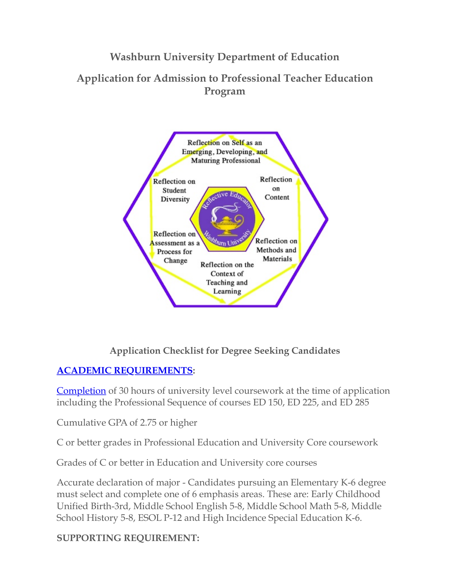**Washburn University Department of Education**

**Application for Admission to Professional Teacher Education Program**



# **Application Checklist for Degree Seeking Candidates**

# **[ACADEMIC REQUIREMENTS](https://form.jotform.com/23225013505136?preview=true#):**

[Completion](https://form.jotform.com/23225013505136?preview=true#) of 30 hours of university level coursework at the time of application including the Professional Sequence of courses ED 150, ED 225, and ED 285

Cumulative GPA of 2.75 or higher

C or better grades in Professional Education and University Core coursework

Grades of C or better in Education and University core courses

Accurate declaration of major - Candidates pursuing an Elementary K-6 degree must select and complete one of 6 emphasis areas. These are: Early Childhood Unified Birth-3rd, Middle School English 5-8, Middle School Math 5-8, Middle School History 5-8, ESOL P-12 and High Incidence Special Education K-6.

**SUPPORTING REQUIREMENT:**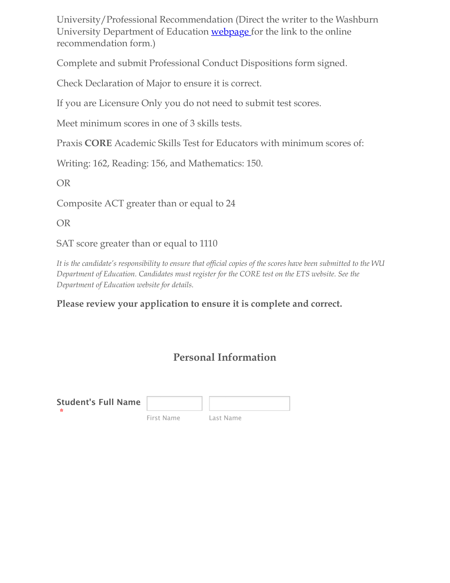University/Professional Recommendation (Direct the writer to the Washburn University Department of Education [webpage f](http://www.washburn.edu/academics/college-schools/arts-sciences/departments/education/admissions/application-form.html)or the link to the online recommendation form.)

Complete and submit Professional Conduct Dispositions form signed.

Check Declaration of Major to ensure it is correct.

If you are Licensure Only you do not need to submit test scores.

Meet minimum scores in one of 3 skills tests.

Praxis **CORE** Academic Skills Test for Educators with minimum scores of:

Writing: 162, Reading: 156, and Mathematics: 150.

OR

Composite ACT greater than or equal to 24

OR

SAT score greater than or equal to 1110

*It is the candidate's responsibility to ensure that official copies of the scores have been submitted to the WU Department of Education. Candidates must register for the CORE test on the ETS website. See the Department of Education website for details.*

## **Please review your application to ensure it is complete and correct.**

# **Personal Information**

| <b>Student's Full Name</b> |            |           |
|----------------------------|------------|-----------|
|                            | First Name | Last Name |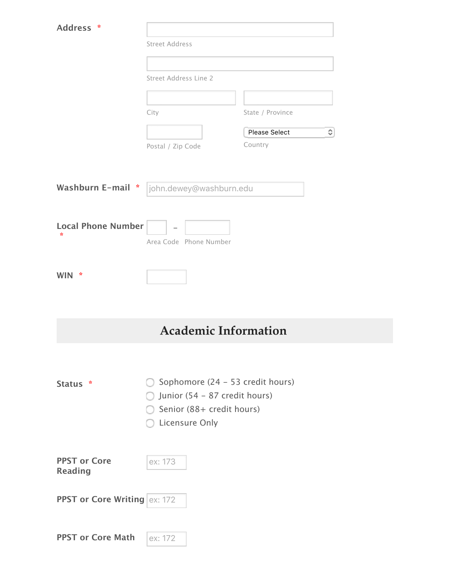| *                                          |                                  |                      |   |  |  |
|--------------------------------------------|----------------------------------|----------------------|---|--|--|
| <b>Address</b>                             | <b>Street Address</b>            |                      |   |  |  |
|                                            |                                  |                      |   |  |  |
|                                            |                                  |                      |   |  |  |
|                                            | Street Address Line 2            |                      |   |  |  |
|                                            |                                  |                      |   |  |  |
|                                            | City                             | State / Province     |   |  |  |
|                                            |                                  | <b>Please Select</b> | ≎ |  |  |
|                                            | Postal / Zip Code                | Country              |   |  |  |
|                                            |                                  |                      |   |  |  |
| Washburn E-mail *                          | john.dewey@washburn.edu          |                      |   |  |  |
|                                            |                                  |                      |   |  |  |
|                                            |                                  |                      |   |  |  |
| <b>Local Phone Number</b><br>$\mathcal{R}$ |                                  |                      |   |  |  |
|                                            | Area Code Phone Number           |                      |   |  |  |
|                                            |                                  |                      |   |  |  |
| ₩<br><b>WIN</b>                            |                                  |                      |   |  |  |
|                                            |                                  |                      |   |  |  |
|                                            |                                  |                      |   |  |  |
|                                            | <b>Academic Information</b>      |                      |   |  |  |
|                                            |                                  |                      |   |  |  |
|                                            |                                  |                      |   |  |  |
| Status *                                   | Sophomore (24 - 53 credit hours) |                      |   |  |  |
|                                            | Junior (54 - 87 credit hours)    |                      |   |  |  |
|                                            | Senior (88+ credit hours)        |                      |   |  |  |
|                                            | <b>Licensure Only</b>            |                      |   |  |  |
|                                            |                                  |                      |   |  |  |
| <b>PPST or Core</b>                        | ex: 173                          |                      |   |  |  |
| <b>Reading</b>                             |                                  |                      |   |  |  |
|                                            |                                  |                      |   |  |  |
| <b>PPST or Core Writing ex: 172</b>        |                                  |                      |   |  |  |
|                                            |                                  |                      |   |  |  |
| <b>PPST or Core Math</b>                   | ex: 172                          |                      |   |  |  |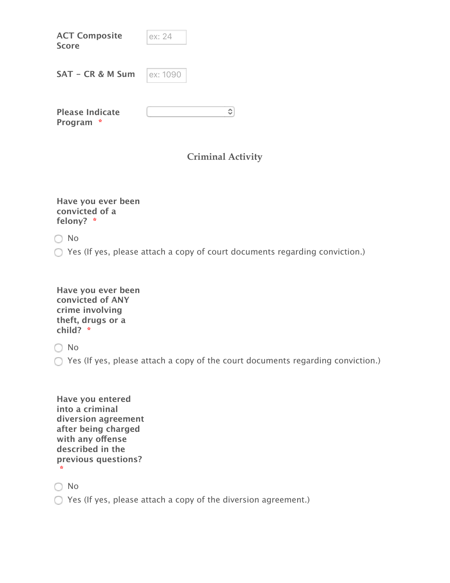| <b>ACT Composite</b><br><b>Score</b>    | ex: 24                   |
|-----------------------------------------|--------------------------|
| SAT - CR & M Sum                        | ex: 1090                 |
| <b>Please Indicate</b><br>-8<br>Program | ≎                        |
|                                         | <b>Criminal Activity</b> |
| Have you ever been                      |                          |

**convicted of a felony? \***

No

Yes (If yes, please attach a copy of court documents regarding conviction.)

| Have you ever been |
|--------------------|
| convicted of ANY   |
| crime involving    |
| theft, drugs or a  |
| child? $*$         |

O No

Yes (If yes, please attach a copy of the court documents regarding conviction.)

**Have you entered into a criminal diversion agreement after being charged with any ofense described in the previous questions? \***

No

Yes (If yes, please attach a copy of the diversion agreement.)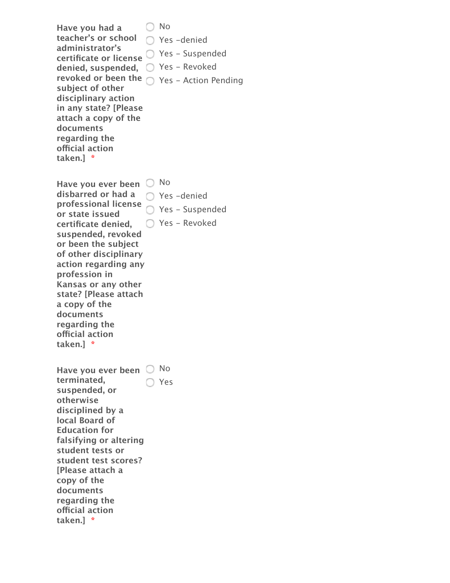**Have you had a teacher's or school** Yes -denied **administrator's certificate or license** Yes - Suspended **denied, suspended,** Yes - Revoked **revoked or been the** Yes - Action Pending **subject of other disciplinary action in any state? [Please attach a copy of the documents regarding the ofcial action taken.] \*** ○ No Have you ever been  $\bigcirc$  No **disbarred or had a** Yes -denied

**professional license or state issued certificate denied, suspended, revoked or been the subject of other disciplinary action regarding any profession in Kansas or any other state? [Please attach a copy of the documents regarding the ofcial action taken.] \*** Yes - Suspended ○ Yes - Revoked

Have you ever been  $\bigcirc$  No **terminated, suspended, or otherwise disciplined by a local Board of Education for falsifying or altering student tests or student test scores? [Please attach a copy of the documents regarding the ofcial action taken.] \*** ◯ Yes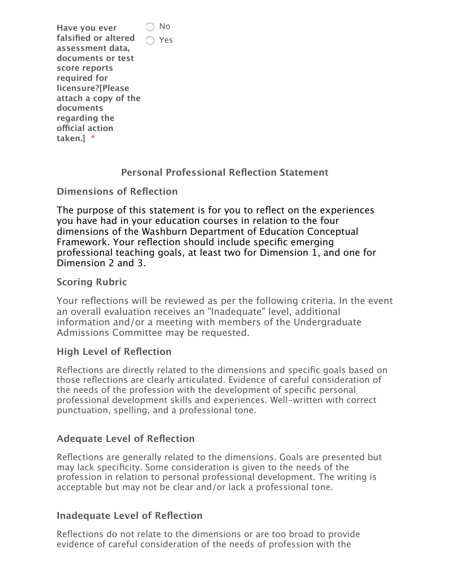**Have you ever falsified or altered assessment data, documents or test score reports required for licensure?[Please attach a copy of the documents regarding the ofcial action taken.] \*** No ◯ Yes

## **Personal Professional Reflection Statement**

**Dimensions of Reflection**

The purpose of this statement is for you to reflect on the experiences you have had in your education courses in relation to the four dimensions of the Washburn Department of Education Conceptual Framework. Your reflection should include specific emerging professional teaching goals, at least two for Dimension 1, and one for Dimension 2 and 3.

## **Scoring Rubric**

Your reflections will be reviewed as per the following criteria. In the event an overall evaluation receives an "Inadequate" level, additional information and/or a meeting with members of the Undergraduate Admissions Committee may be requested.

#### **High Level of Reflection**

Reflections are directly related to the dimensions and specific goals based on those reflections are clearly articulated. Evidence of careful consideration of the needs of the profession with the development of specific personal professional development skills and experiences. Well-written with correct punctuation, spelling, and a professional tone.

## **Adequate Level of Reflection**

Reflections are generally related to the dimensions. Goals are presented but may lack specificity. Some consideration is given to the needs of the profession in relation to personal professional development. The writing is acceptable but may not be clear and/or lack a professional tone.

#### **Inadequate Level of Reflection**

Reflections do not relate to the dimensions or are too broad to provide evidence of careful consideration of the needs of profession with the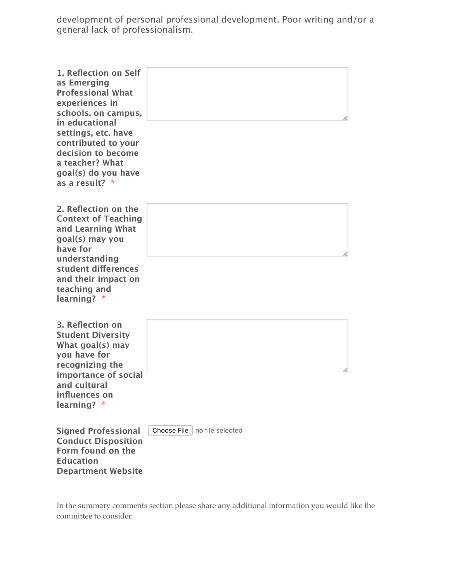development of personal professional development. Poor writing and/or a general lack of professionalism.

| 1. Reflection on Self<br>as Emerging<br><b>Professional What</b><br>experiences in<br>schools, on campus,<br>in educational<br>settings, etc. have<br>contributed to your<br>decision to become<br>a teacher? What<br>goal(s) do you have<br>as a result? * |                                 |
|-------------------------------------------------------------------------------------------------------------------------------------------------------------------------------------------------------------------------------------------------------------|---------------------------------|
| 2. Reflection on the<br><b>Context of Teaching</b><br>and Learning What<br>goal(s) may you<br>have for<br>understanding<br>student differences<br>and their impact on<br>teaching and<br>learning? *                                                        |                                 |
| 3. Reflection on<br><b>Student Diversity</b><br>What goal(s) may<br>you have for<br>recognizing the<br>importance of social<br>and cultural<br>influences on<br>learning? *                                                                                 |                                 |
| <b>Signed Professional</b><br><b>Conduct Disposition</b><br>Form found on the<br><b>Education</b>                                                                                                                                                           | Choose File<br>no file selected |

In the summary comments section please share any additional information you would like the committee to consider.

**Department Website**